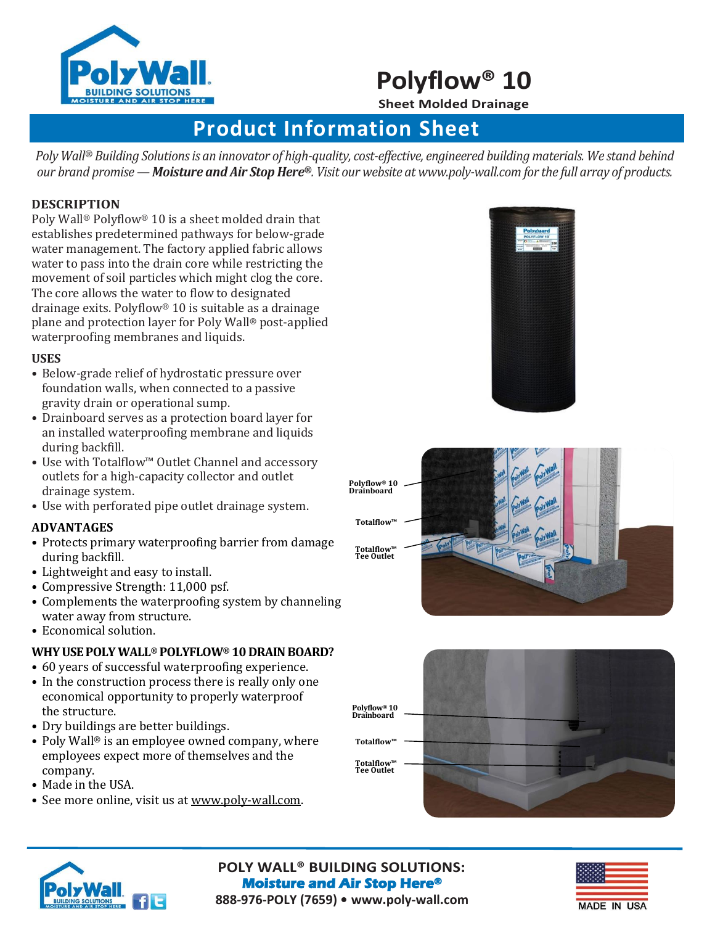

# **Polyflow® 10**

**Sheet Molded Drainage**

## **Product Information Sheet**

*Poly Wall® Building Solutions is an innovator of high-quality, cost-effective, engineered building materials. We stand behind our brand promise —Moisture and Air Stop Here®. Visit our website a[t www.poly-wall.com f](http://www.poly-wall.com/)or the full array of products.* 

#### **DESCRIPTION**

Poly Wall® Polyflow® 10 is a sheet molded drain that establishes predetermined pathways for below-grade water management. The factory applied fabric allows water to pass into the drain core while restricting the movement of soil particles which might clog the core. The core allows the water to flow to designated drainage exits. Polyflow® 10 is suitable as a drainage plane and protection layer for Poly Wall® post-applied waterproofing membranes and liquids.

#### **USES**

- Below-grade relief of hydrostatic pressure over foundation walls, when connected to a passive gravity drain or operational sump.
- Drainboard serves as a protection board layer for an installed waterproofing membrane and liquids during backfill.
- Use with Totalflow™ Outlet Channel and accessory outlets for a high-capacity collector and outlet drainage system.
- Use with perforated pipe outlet drainage system.

#### **ADVANTAGES**

- Protects primary waterproofing barrier from damage during backfill.
- Lightweight and easy to install.
- Compressive Strength: 11,000 psf.
- Complements the waterproofing system by channeling water away from structure.
- Economical solution.

#### **WHY USE POLY WALL® POLYFLOW® 10 DRAIN BOARD?**

- 60 years of successful waterproofing experience.
- In the construction process there is really only one economical opportunity to properly waterproof the structure.
- Dry buildings are better buildings.
- Poly Wall® is an employee owned company, where employees expect more of themselves and the company.
- Made in the USA.
- See more online, visit us at [www.poly-wall.com.](http://www.poly-wall.com/)









**[POLY WALL® BUILDING SOLUTIONS:](http://www.poly-wall.com)  Moisture and Air Stop Here® 888-976-POLY (7659) • [www.poly-wall.com](http://www.poly-wall.com/)**